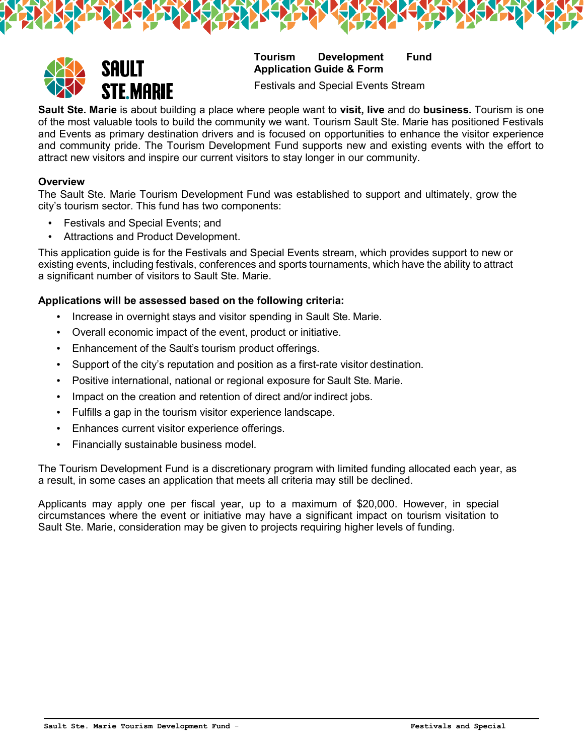

# **Tourism Development Fund Application Guide & Form**

Festivals and Special Events Stream

**Sault Ste. Marie** is about building a place where people want to **visit, live** and do **business.** Tourism is one of the most valuable tools to build the community we want. Tourism Sault Ste. Marie has positioned Festivals and Events as primary destination drivers and is focused on opportunities to enhance the visitor experience and community pride. The Tourism Development Fund supports new and existing events with the effort to attract new visitors and inspire our current visitors to stay longer in our community.

#### **Overview**

The Sault Ste. Marie Tourism Development Fund was established to support and ultimately, grow the city's tourism sector. This fund has two components:

- Festivals and Special Events; and
- Attractions and Product Development.

This application guide is for the Festivals and Special Events stream, which provides support to new or existing events, including festivals, conferences and sports tournaments, which have the ability to attract a significant number of visitors to Sault Ste. Marie.

#### **Applications will be assessed based on the following criteria:**

- Increase in overnight stays and visitor spending in Sault Ste. Marie.
- Overall economic impact of the event, product or initiative.
- Enhancement of the Sault's tourism product offerings.
- Support of the city's reputation and position as a first-rate visitor destination.
- Positive international, national or regional exposure for Sault Ste. Marie.
- Impact on the creation and retention of direct and/or indirect jobs.
- Fulfills a gap in the tourism visitor experience landscape.
- Enhances current visitor experience offerings.
- Financially sustainable business model.

The Tourism Development Fund is a discretionary program with limited funding allocated each year, as a result, in some cases an application that meets all criteria may still be declined.

Applicants may apply one per fiscal year, up to a maximum of \$20,000. However, in special circumstances where the event or initiative may have a significant impact on tourism visitation to Sault Ste. Marie, consideration may be given to projects requiring higher levels of funding.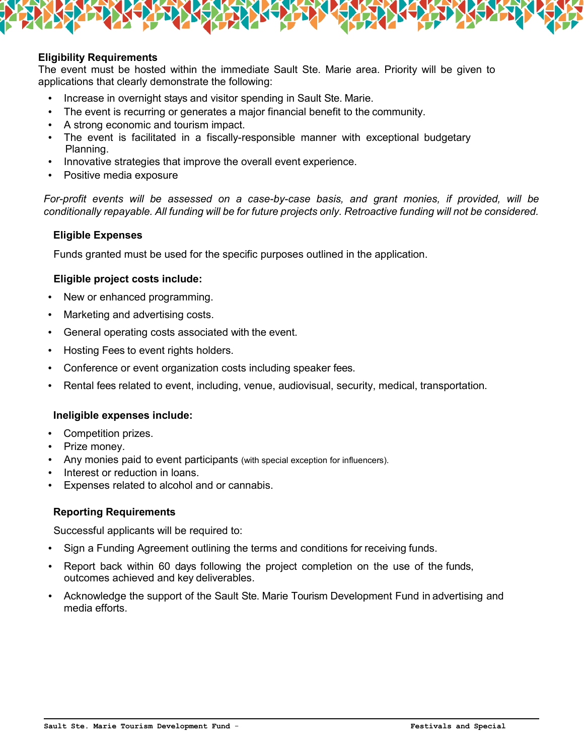# **Eligibility Requirements**

The event must be hosted within the immediate Sault Ste. Marie area. Priority will be given to applications that clearly demonstrate the following:

- Increase in overnight stays and visitor spending in Sault Ste. Marie.
- The event is recurring or generates a major financial benefit to the community.
- A strong economic and tourism impact.
- The event is facilitated in a fiscally-responsible manner with exceptional budgetary Planning.
- Innovative strategies that improve the overall event experience.
- Positive media exposure

*For-profit events will be assessed on a case-by-case basis, and grant monies, if provided, will be conditionally repayable. All funding will be for future projects only. Retroactive funding will not be considered.*

# **Eligible Expenses**

Funds granted must be used for the specific purposes outlined in the application.

# **Eligible project costs include:**

- New or enhanced programming.
- Marketing and advertising costs.
- General operating costs associated with the event.
- Hosting Fees to event rights holders.
- Conference or event organization costs including speaker fees.
- Rental fees related to event, including, venue, audiovisual, security, medical, transportation.

#### **Ineligible expenses include:**

- Competition prizes.
- Prize money.
- Any monies paid to event participants (with special exception for influencers).
- Interest or reduction in loans.
- Expenses related to alcohol and or cannabis.

#### **Reporting Requirements**

Successful applicants will be required to:

- Sign a Funding Agreement outlining the terms and conditions for receiving funds.
- Report back within 60 days following the project completion on the use of the funds, outcomes achieved and key deliverables.
- Acknowledge the support of the Sault Ste. Marie Tourism Development Fund in advertising and media efforts.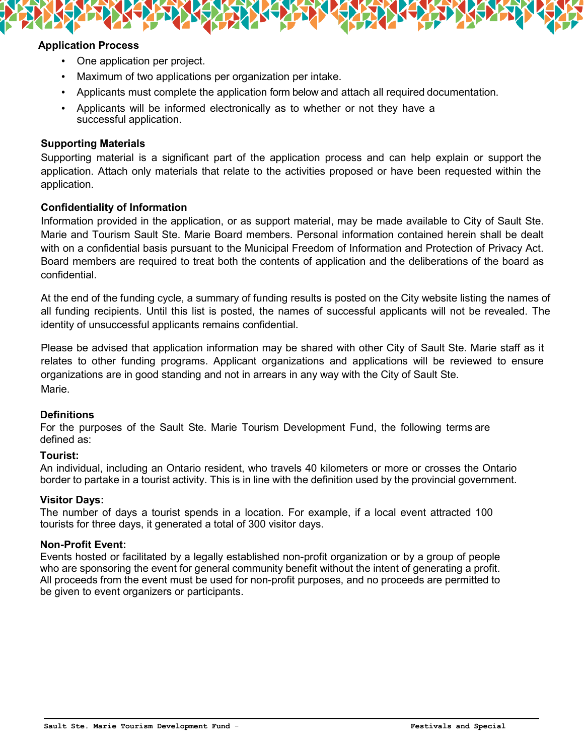

- One application per project.
- Maximum of two applications per organization per intake.
- Applicants must complete the application form below and attach all required documentation.
- Applicants will be informed electronically as to whether or not they have a successful application.

# **Supporting Materials**

Supporting material is a significant part of the application process and can help explain or support the application. Attach only materials that relate to the activities proposed or have been requested within the application.

# **Confidentiality of Information**

Information provided in the application, or as support material, may be made available to City of Sault Ste. Marie and Tourism Sault Ste. Marie Board members. Personal information contained herein shall be dealt with on a confidential basis pursuant to the Municipal Freedom of Information and Protection of Privacy Act. Board members are required to treat both the contents of application and the deliberations of the board as confidential.

At the end of the funding cycle, a summary of funding results is posted on the City website listing the names of all funding recipients. Until this list is posted, the names of successful applicants will not be revealed. The identity of unsuccessful applicants remains confidential.

Please be advised that application information may be shared with other City of Sault Ste. Marie staff as it relates to other funding programs. Applicant organizations and applications will be reviewed to ensure organizations are in good standing and not in arrears in any way with the City of Sault Ste. Marie.

# **Definitions**

For the purposes of the Sault Ste. Marie Tourism Development Fund, the following terms are defined as:

# **Tourist:**

An individual, including an Ontario resident, who travels 40 kilometers or more or crosses the Ontario border to partake in a tourist activity. This is in line with the definition used by the provincial government.

# **Visitor Days:**

The number of days a tourist spends in a location. For example, if a local event attracted 100 tourists for three days, it generated a total of 300 visitor days.

# **Non-Profit Event:**

Events hosted or facilitated by a legally established non-profit organization or by a group of people who are sponsoring the event for general community benefit without the intent of generating a profit. All proceeds from the event must be used for non-profit purposes, and no proceeds are permitted to be given to event organizers or participants.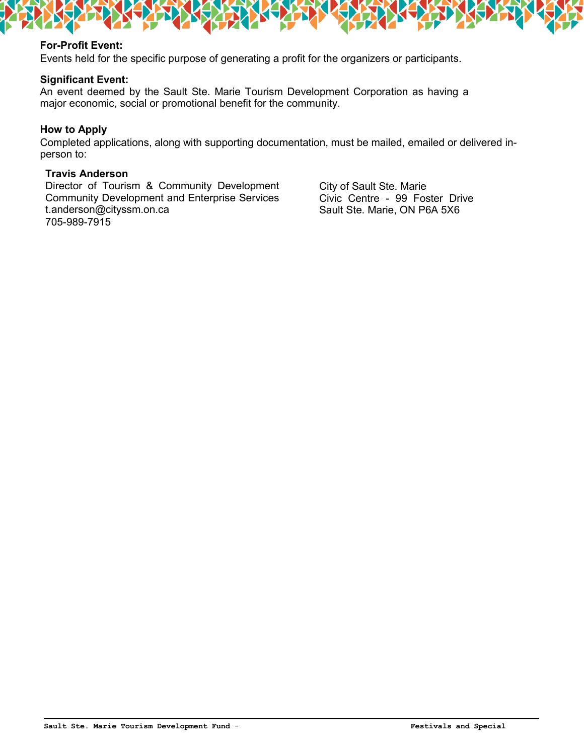

# **For-Profit Event:**

Events held for the specific purpose of generating a profit for the organizers or participants.

#### **Significant Event:**

An event deemed by the Sault Ste. Marie Tourism Development Corporation as having a major economic, social or promotional benefit for the community.

# **How to Apply**

Completed applications, along with supporting documentation, must be mailed, emailed or delivered inperson to:

## **Travis Anderson**

Director of Tourism & Community Development Community Development and Enterprise Services [t.anderson@cityssm.on.ca](mailto:t.anderson@cityssm.on.ca) 705-989-7915

City of Sault Ste. Marie Civic Centre - 99 Foster Drive Sault Ste. Marie, ON P6A 5X6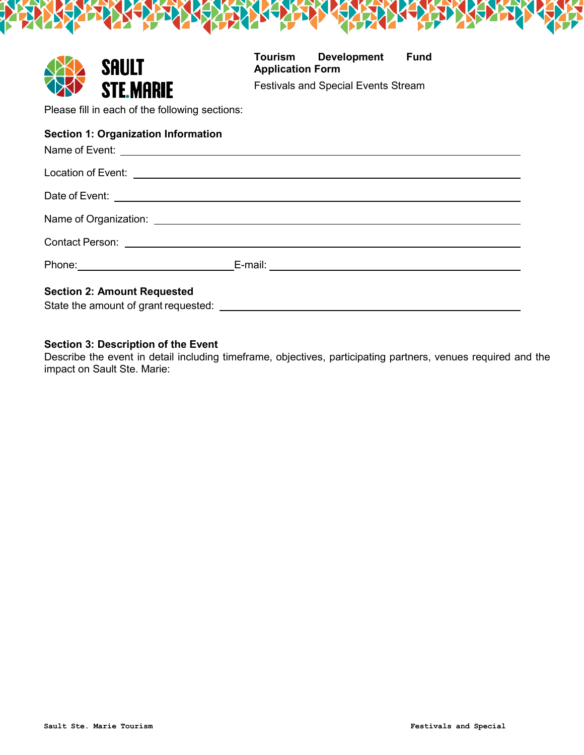|                                                | <b>SAULT</b>                      | Tourism<br><b>Application Form</b> | <b>Development</b>                         | <b>Fund</b> |  |  |  |
|------------------------------------------------|-----------------------------------|------------------------------------|--------------------------------------------|-------------|--|--|--|
|                                                | <b>STE.MARIE</b>                  |                                    | <b>Festivals and Special Events Stream</b> |             |  |  |  |
| Please fill in each of the following sections: |                                   |                                    |                                            |             |  |  |  |
| <b>Section 1: Organization Information</b>     |                                   |                                    |                                            |             |  |  |  |
|                                                |                                   |                                    |                                            |             |  |  |  |
|                                                |                                   |                                    |                                            |             |  |  |  |
|                                                |                                   |                                    |                                            |             |  |  |  |
|                                                |                                   |                                    |                                            |             |  |  |  |
|                                                | Phone: __________________________ | E-mail: ____________               |                                            |             |  |  |  |

# **Section 2: Amount Requested**

State the amount of grant requested:

# **Section 3: Description of the Event**

Describe the event in detail including timeframe, objectives, participating partners, venues required and the impact on Sault Ste. Marie: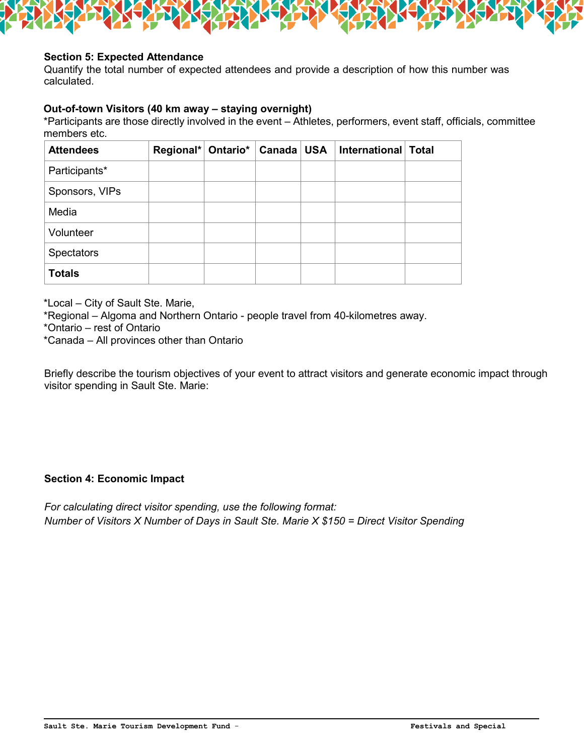

# **Section 5: Expected Attendance**

Quantify the total number of expected attendees and provide a description of how this number was calculated.

# **Out-of-town Visitors (40 km away – staying overnight)**

\*Participants are those directly involved in the event – Athletes, performers, event staff, officials, committee members etc.

| <b>Attendees</b>  | Regional* Ontario* | Canada | <b>USA</b> | International   Total |  |
|-------------------|--------------------|--------|------------|-----------------------|--|
| Participants*     |                    |        |            |                       |  |
| Sponsors, VIPs    |                    |        |            |                       |  |
| Media             |                    |        |            |                       |  |
| Volunteer         |                    |        |            |                       |  |
| <b>Spectators</b> |                    |        |            |                       |  |
| <b>Totals</b>     |                    |        |            |                       |  |

\*Local – City of Sault Ste. Marie,

\*Regional – Algoma and Northern Ontario - people travel from 40-kilometres away.

\*Ontario – rest of Ontario

\*Canada – All provinces other than Ontario

Briefly describe the tourism objectives of your event to attract visitors and generate economic impact through visitor spending in Sault Ste. Marie:

# **Section 4: Economic Impact**

*For calculating direct visitor spending, use the following format: Number of Visitors X Number of Days in Sault Ste. Marie X \$150 = Direct Visitor Spending*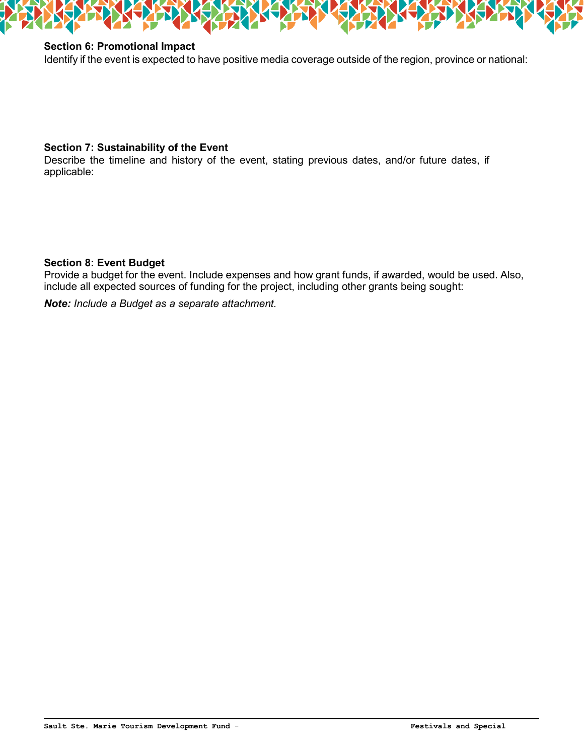

# **Section 6: Promotional Impact**

Identify if the event is expected to have positive media coverage outside of the region, province or national:

# **Section 7: Sustainability of the Event**

Describe the timeline and history of the event, stating previous dates, and/or future dates, if applicable:

# **Section 8: Event Budget**

Provide a budget for the event. Include expenses and how grant funds, if awarded, would be used. Also, include all expected sources of funding for the project, including other grants being sought:

*Note: Include a Budget as a separate attachment.*